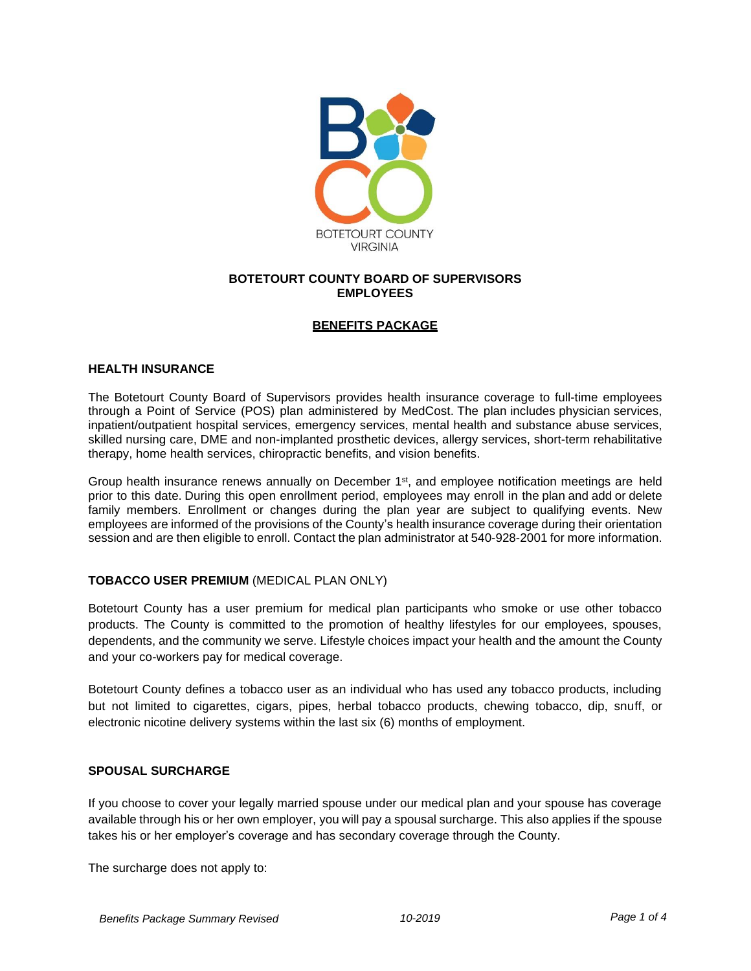

### **BOTETOURT COUNTY BOARD OF SUPERVISORS EMPLOYEES**

### **BENEFITS PACKAGE**

#### **HEALTH INSURANCE**

The Botetourt County Board of Supervisors provides health insurance coverage to full-time employees through a Point of Service (POS) plan administered by MedCost. The plan includes physician services, inpatient/outpatient hospital services, emergency services, mental health and substance abuse services, skilled nursing care, DME and non-implanted prosthetic devices, allergy services, short-term rehabilitative therapy, home health services, chiropractic benefits, and vision benefits.

Group health insurance renews annually on December 1<sup>st</sup>, and employee notification meetings are held prior to this date. During this open enrollment period, employees may enroll in the plan and add or delete family members. Enrollment or changes during the plan year are subject to qualifying events. New employees are informed of the provisions of the County's health insurance coverage during their orientation session and are then eligible to enroll. Contact the plan administrator at 540-928-2001 for more information.

## **TOBACCO USER PREMIUM** (MEDICAL PLAN ONLY)

Botetourt County has a user premium for medical plan participants who smoke or use other tobacco products. The County is committed to the promotion of healthy lifestyles for our employees, spouses, dependents, and the community we serve. Lifestyle choices impact your health and the amount the County and your co-workers pay for medical coverage.

Botetourt County defines a tobacco user as an individual who has used any tobacco products, including but not limited to cigarettes, cigars, pipes, herbal tobacco products, chewing tobacco, dip, snuff, or electronic nicotine delivery systems within the last six (6) months of employment.

#### **SPOUSAL SURCHARGE**

If you choose to cover your legally married spouse under our medical plan and your spouse has coverage available through his or her own employer, you will pay a spousal surcharge. This also applies if the spouse takes his or her employer's coverage and has secondary coverage through the County.

The surcharge does not apply to: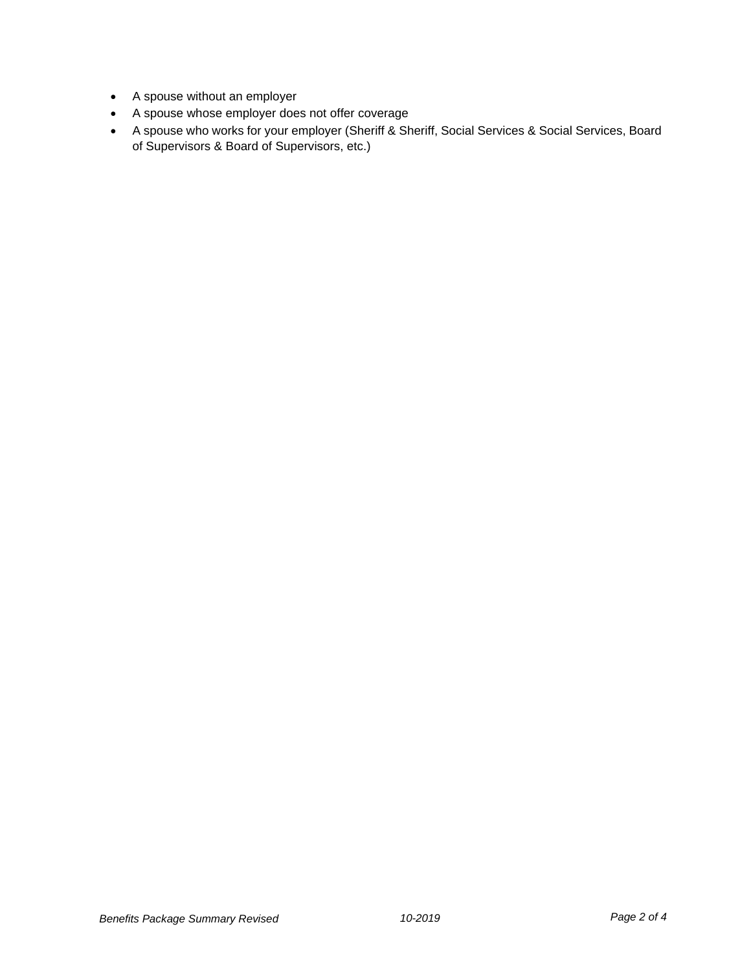- A spouse without an employer
- A spouse whose employer does not offer coverage
- A spouse who works for your employer (Sheriff & Sheriff, Social Services & Social Services, Board of Supervisors & Board of Supervisors, etc.)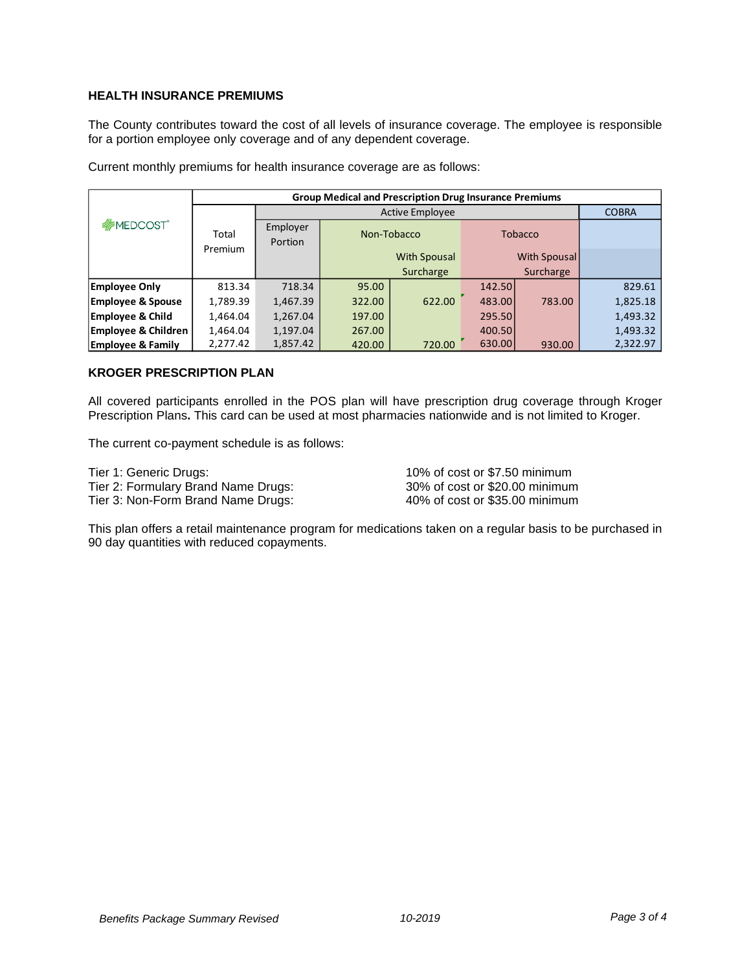# **HEALTH INSURANCE PREMIUMS**

The County contributes toward the cost of all levels of insurance coverage. The employee is responsible for a portion employee only coverage and of any dependent coverage.

|                                | <b>Group Medical and Prescription Drug Insurance Premiums</b> |                        |             |                     |                |              |              |
|--------------------------------|---------------------------------------------------------------|------------------------|-------------|---------------------|----------------|--------------|--------------|
|                                |                                                               | <b>Active Employee</b> |             |                     |                |              | <b>COBRA</b> |
| <b><i>MEDCOST</i></b>          | Total                                                         | Employer<br>Portion    | Non-Tobacco |                     | <b>Tobacco</b> |              |              |
|                                | Premium                                                       |                        |             | <b>With Spousal</b> |                | With Spousal |              |
|                                |                                                               |                        | Surcharge   |                     | Surcharge      |              |              |
| <b>Employee Only</b>           | 813.34                                                        | 718.34                 | 95.00       |                     | 142.50         |              | 829.61       |
| <b>Employee &amp; Spouse</b>   | 1,789.39                                                      | 1,467.39               | 322.00      | 622.00              | 483.00         | 783.00       | 1,825.18     |
| <b>Employee &amp; Child</b>    | 1,464.04                                                      | 1,267.04               | 197.00      |                     | 295.50         |              | 1,493.32     |
| <b>Employee &amp; Children</b> | 1,464.04                                                      | 1,197.04               | 267.00      |                     | 400.50         |              | 1,493.32     |
| <b>Employee &amp; Family</b>   | 2,277.42                                                      | 1,857.42               | 420.00      | 720.00              | 630.00         | 930.00       | 2,322.97     |

Current monthly premiums for health insurance coverage are as follows:

### **KROGER PRESCRIPTION PLAN**

All covered participants enrolled in the POS plan will have prescription drug coverage through Kroger Prescription Plans**.** This card can be used at most pharmacies nationwide and is not limited to Kroger.

The current co-payment schedule is as follows:

| Tier 1: Generic Drugs:              | 10% of cost or \$7.50 minimum  |
|-------------------------------------|--------------------------------|
| Tier 2: Formulary Brand Name Drugs: | 30% of cost or \$20.00 minimum |
| Tier 3: Non-Form Brand Name Drugs:  | 40% of cost or \$35.00 minimum |

This plan offers a retail maintenance program for medications taken on a regular basis to be purchased in 90 day quantities with reduced copayments.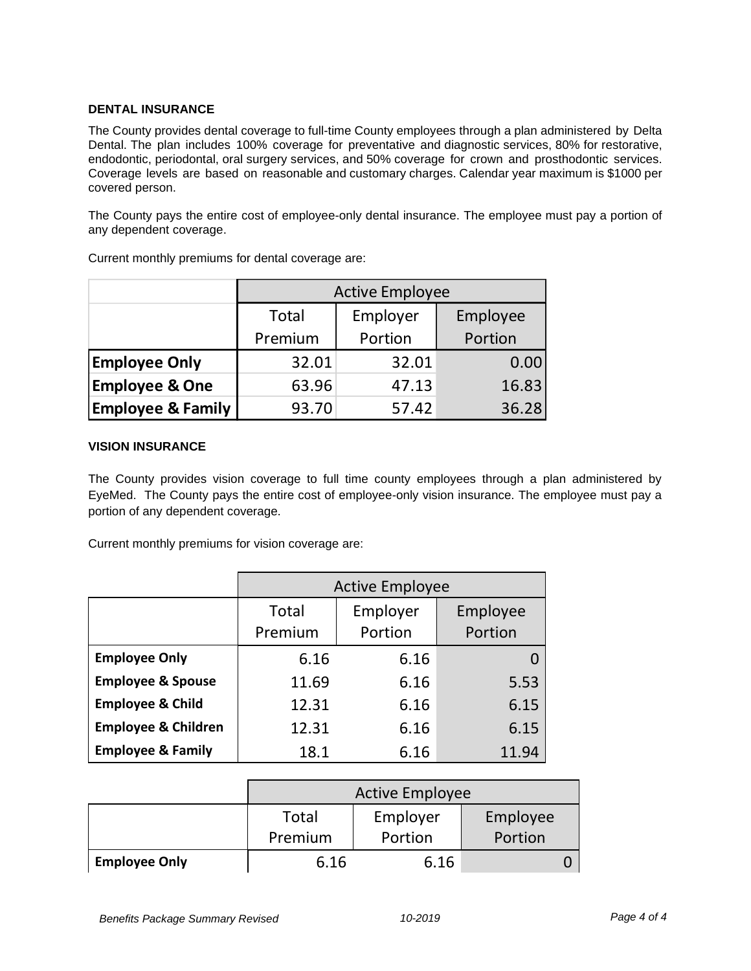## **DENTAL INSURANCE**

The County provides dental coverage to full-time County employees through a plan administered by Delta Dental. The plan includes 100% coverage for preventative and diagnostic services, 80% for restorative, endodontic, periodontal, oral surgery services, and 50% coverage for crown and prosthodontic services. Coverage levels are based on reasonable and customary charges. Calendar year maximum is \$1000 per covered person.

The County pays the entire cost of employee-only dental insurance. The employee must pay a portion of any dependent coverage.

|                              | <b>Active Employee</b> |         |          |  |
|------------------------------|------------------------|---------|----------|--|
|                              | Employer<br>Total      |         | Employee |  |
|                              | Premium                | Portion | Portion  |  |
| <b>Employee Only</b>         | 32.01                  | 32.01   | 0.00     |  |
| <b>Employee &amp; One</b>    | 63.96                  | 47.13   | 16.83    |  |
| <b>Employee &amp; Family</b> | 93.70                  | 57.42   | 36.28    |  |

Current monthly premiums for dental coverage are:

## **VISION INSURANCE**

The County provides vision coverage to full time county employees through a plan administered by EyeMed. The County pays the entire cost of employee-only vision insurance. The employee must pay a portion of any dependent coverage.

Current monthly premiums for vision coverage are:

|                                | <b>Active Employee</b> |                     |                     |  |
|--------------------------------|------------------------|---------------------|---------------------|--|
|                                | Total<br>Premium       | Employer<br>Portion | Employee<br>Portion |  |
| <b>Employee Only</b>           | 6.16                   | 6.16                |                     |  |
| <b>Employee &amp; Spouse</b>   | 11.69                  | 6.16                | 5.53                |  |
| <b>Employee &amp; Child</b>    | 12.31                  | 6.16                | 6.15                |  |
| <b>Employee &amp; Children</b> | 12.31                  | 6.16                | 6.15                |  |
| <b>Employee &amp; Family</b>   | 18.1                   | 6.16                | 11.94               |  |

|                      | <b>Active Employee</b>        |         |         |  |
|----------------------|-------------------------------|---------|---------|--|
|                      | Employer<br>Employee<br>Total |         |         |  |
|                      | Premium                       | Portion | Portion |  |
| <b>Employee Only</b> | 6.16                          | 6.16    |         |  |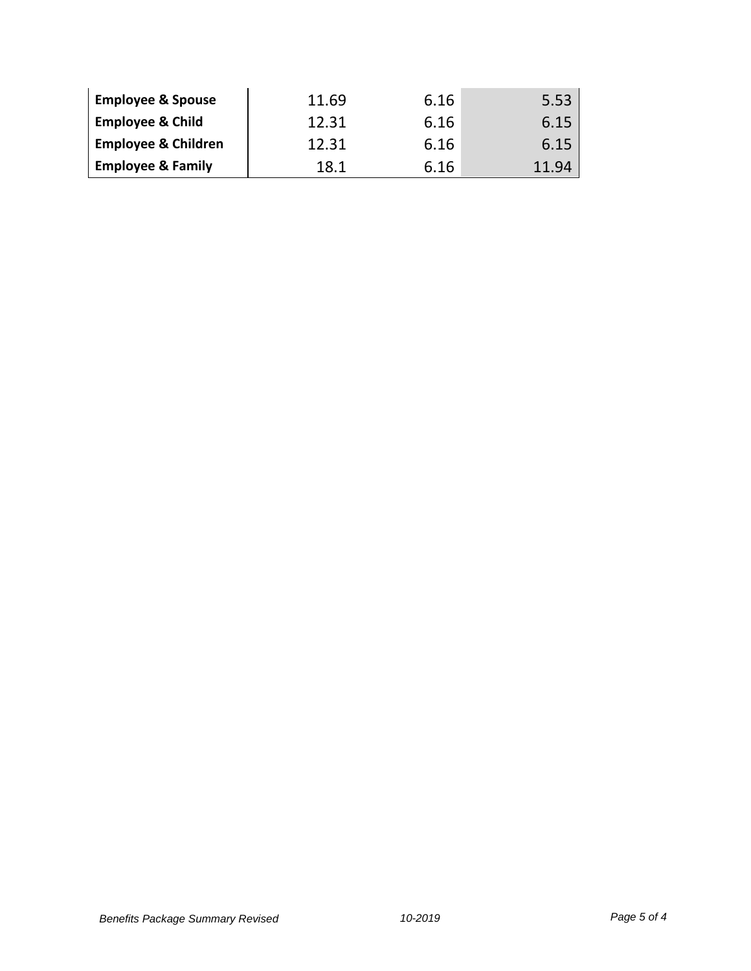| <b>Employee &amp; Spouse</b>   | 11.69 | 6.16 | 5.53 |
|--------------------------------|-------|------|------|
| <b>Employee &amp; Child</b>    | 12.31 | 6.16 | 6.15 |
| <b>Employee &amp; Children</b> | 12.31 | 6.16 | 6.15 |
| <b>Employee &amp; Family</b>   | 18.1  | 6.16 | -94  |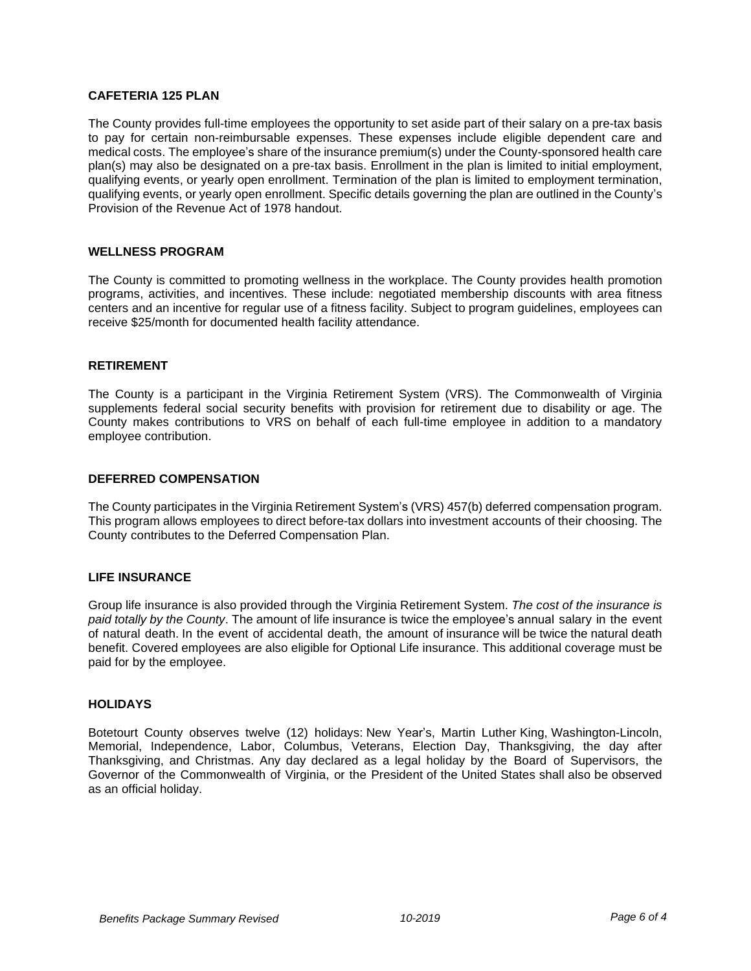### **CAFETERIA 125 PLAN**

The County provides full-time employees the opportunity to set aside part of their salary on a pre-tax basis to pay for certain non-reimbursable expenses. These expenses include eligible dependent care and medical costs. The employee's share of the insurance premium(s) under the County-sponsored health care plan(s) may also be designated on a pre-tax basis. Enrollment in the plan is limited to initial employment, qualifying events, or yearly open enrollment. Termination of the plan is limited to employment termination, qualifying events, or yearly open enrollment. Specific details governing the plan are outlined in the County's Provision of the Revenue Act of 1978 handout.

#### **WELLNESS PROGRAM**

The County is committed to promoting wellness in the workplace. The County provides health promotion programs, activities, and incentives. These include: negotiated membership discounts with area fitness centers and an incentive for regular use of a fitness facility. Subject to program guidelines, employees can receive \$25/month for documented health facility attendance.

### **RETIREMENT**

The County is a participant in the Virginia Retirement System (VRS). The Commonwealth of Virginia supplements federal social security benefits with provision for retirement due to disability or age. The County makes contributions to VRS on behalf of each full-time employee in addition to a mandatory employee contribution.

#### **DEFERRED COMPENSATION**

The County participates in the Virginia Retirement System's (VRS) 457(b) deferred compensation program. This program allows employees to direct before-tax dollars into investment accounts of their choosing. The County contributes to the Deferred Compensation Plan.

#### **LIFE INSURANCE**

Group life insurance is also provided through the Virginia Retirement System. *The cost of the insurance is paid totally by the County*. The amount of life insurance is twice the employee's annual salary in the event of natural death. In the event of accidental death, the amount of insurance will be twice the natural death benefit. Covered employees are also eligible for Optional Life insurance. This additional coverage must be paid for by the employee.

### **HOLIDAYS**

Botetourt County observes twelve (12) holidays: New Year's, Martin Luther King, Washington-Lincoln, Memorial, Independence, Labor, Columbus, Veterans, Election Day, Thanksgiving, the day after Thanksgiving, and Christmas. Any day declared as a legal holiday by the Board of Supervisors, the Governor of the Commonwealth of Virginia, or the President of the United States shall also be observed as an official holiday.